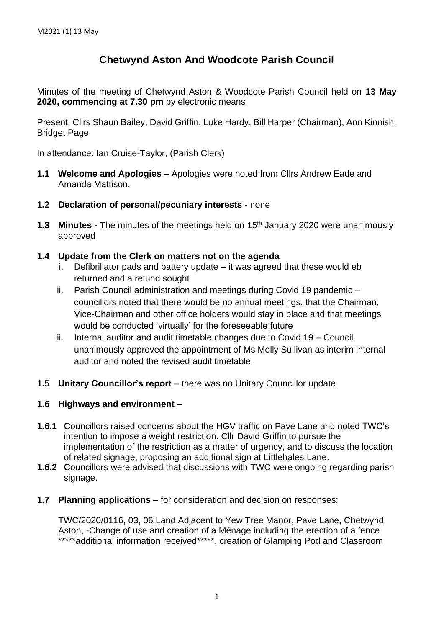## **Chetwynd Aston And Woodcote Parish Council**

Minutes of the meeting of Chetwynd Aston & Woodcote Parish Council held on **13 May 2020, commencing at 7.30 pm** by electronic means

Present: Cllrs Shaun Bailey, David Griffin, Luke Hardy, Bill Harper (Chairman), Ann Kinnish, Bridget Page.

In attendance: Ian Cruise-Taylor, (Parish Clerk)

- **1.1 Welcome and Apologies** Apologies were noted from Cllrs Andrew Eade and Amanda Mattison.
- **1.2 Declaration of personal/pecuniary interests -** none
- **1.3 Minutes -** The minutes of the meetings held on 15<sup>th</sup> January 2020 were unanimously approved
- **1.4 Update from the Clerk on matters not on the agenda**
	- Defibrillator pads and battery update  $-$  it was agreed that these would eb returned and a refund sought
	- ii. Parish Council administration and meetings during Covid 19 pandemic councillors noted that there would be no annual meetings, that the Chairman, Vice-Chairman and other office holders would stay in place and that meetings would be conducted 'virtually' for the foreseeable future
	- iii. Internal auditor and audit timetable changes due to Covid 19 Council unanimously approved the appointment of Ms Molly Sullivan as interim internal auditor and noted the revised audit timetable.
- **1.5 Unitary Councillor's report** there was no Unitary Councillor update

## **1.6 Highways and environment** –

- **1.6.1** Councillors raised concerns about the HGV traffic on Pave Lane and noted TWC's intention to impose a weight restriction. Cllr David Griffin to pursue the implementation of the restriction as a matter of urgency, and to discuss the location of related signage, proposing an additional sign at Littlehales Lane.
- **1.6.2** Councillors were advised that discussions with TWC were ongoing regarding parish signage.
- **1.7 Planning applications –** for consideration and decision on responses:

TWC/2020/0116, 03, 06 Land Adjacent to Yew Tree Manor, Pave Lane, Chetwynd Aston, -Change of use and creation of a Ménage including the erection of a fence \*\*\*\*\*additional information received\*\*\*\*\*, creation of Glamping Pod and Classroom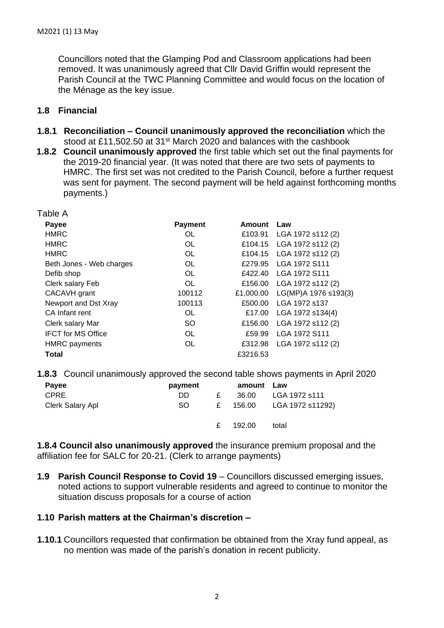Councillors noted that the Glamping Pod and Classroom applications had been removed. It was unanimously agreed that Cllr David Griffin would represent the Parish Council at the TWC Planning Committee and would focus on the location of the Ménage as the key issue.

## **1.8 Financial**

- **1.8.1 Reconciliation – Council unanimously approved the reconciliation** which the stood at £11,502.50 at 31<sup>st</sup> March 2020 and balances with the cashbook
- **1.8.2 Council unanimously approved** the first table which set out the final payments for the 2019-20 financial year. (It was noted that there are two sets of payments to HMRC. The first set was not credited to the Parish Council, before a further request was sent for payment. The second payment will be held against forthcoming months payments.)

| Table A                   |                |           |                      |
|---------------------------|----------------|-----------|----------------------|
| Payee                     | <b>Payment</b> | Amount    | Law                  |
| <b>HMRC</b>               | OL             | £103.91   | LGA 1972 s112 (2)    |
| <b>HMRC</b>               | <b>OL</b>      | £104.15   | LGA 1972 s112 (2)    |
| <b>HMRC</b>               | <b>OL</b>      | £104.15   | LGA 1972 s112 (2)    |
| Beth Jones - Web charges  | <b>OL</b>      | £279.95   | LGA 1972 S111        |
| Defib shop                | <b>OL</b>      | £422.40   | LGA 1972 S111        |
| Clerk salary Feb          | <b>OL</b>      | £156.00   | LGA 1972 s112 (2)    |
| CACAVH grant              | 100112         | £1,000.00 | LG(MP)A 1976 s193(3) |
| Newport and Dst Xray      | 100113         | £500.00   | LGA 1972 s137        |
| CA Infant rent            | OL             | £17.00    | LGA 1972 s134(4)     |
| Clerk salary Mar          | <b>SO</b>      | £156.00   | LGA 1972 s112 (2)    |
| <b>IFCT for MS Office</b> | OL             | £59.99    | LGA 1972 S111        |
| <b>HMRC</b> payments      | OL             | £312.98   | LGA 1972 s112 (2)    |
| Total                     |                | £3216.53  |                      |

**1.8.3** Council unanimously approved the second table shows payments in April 2020

| Payee            | payment |   | amount Law |                  |
|------------------|---------|---|------------|------------------|
| <b>CPRE</b>      | DD.     | £ | 36.00      | LGA 1972 s111    |
| Clerk Salary Apl | SO.     | £ | 156.00     | LGA 1972 s11292) |
|                  |         | £ | 192.00     | total            |

**1.8.4 Council also unanimously approved** the insurance premium proposal and the affiliation fee for SALC for 20-21. (Clerk to arrange payments)

**1.9 Parish Council Response to Covid 19** – Councillors discussed emerging issues, noted actions to support vulnerable residents and agreed to continue to monitor the situation discuss proposals for a course of action

## **1.10 Parish matters at the Chairman's discretion –**

**1.10.1** Councillors requested that confirmation be obtained from the Xray fund appeal, as no mention was made of the parish's donation in recent publicity.